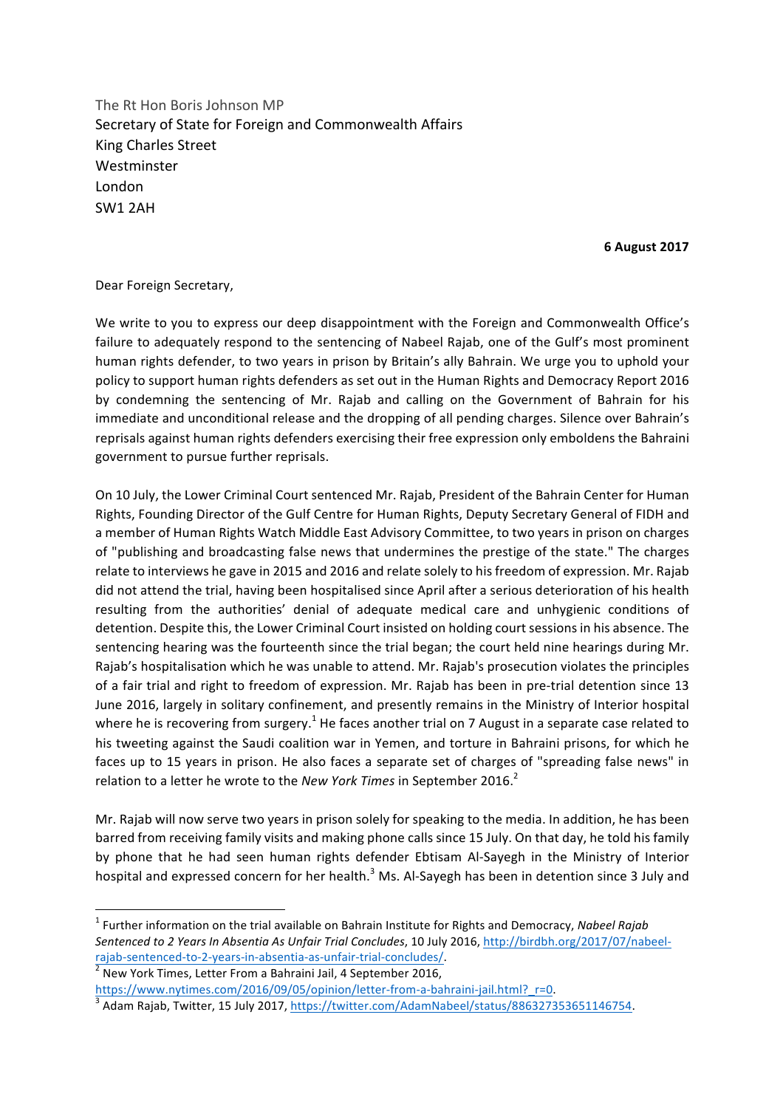The Rt Hon Boris Johnson MP Secretary of State for Foreign and Commonwealth Affairs King Charles Street Westminster London SW1 2AH

**6 August 2017**

## Dear Foreign Secretary,

We write to you to express our deep disappointment with the Foreign and Commonwealth Office's failure to adequately respond to the sentencing of Nabeel Rajab, one of the Gulf's most prominent human rights defender, to two years in prison by Britain's ally Bahrain. We urge you to uphold your policy to support human rights defenders as set out in the Human Rights and Democracy Report 2016 by condemning the sentencing of Mr. Rajab and calling on the Government of Bahrain for his immediate and unconditional release and the dropping of all pending charges. Silence over Bahrain's reprisals against human rights defenders exercising their free expression only emboldens the Bahraini government to pursue further reprisals.

On 10 July, the Lower Criminal Court sentenced Mr. Rajab, President of the Bahrain Center for Human Rights, Founding Director of the Gulf Centre for Human Rights, Deputy Secretary General of FIDH and a member of Human Rights Watch Middle East Advisory Committee, to two years in prison on charges of "publishing and broadcasting false news that undermines the prestige of the state." The charges relate to interviews he gave in 2015 and 2016 and relate solely to his freedom of expression. Mr. Rajab did not attend the trial, having been hospitalised since April after a serious deterioration of his health resulting from the authorities' denial of adequate medical care and unhygienic conditions of detention. Despite this, the Lower Criminal Court insisted on holding court sessions in his absence. The sentencing hearing was the fourteenth since the trial began; the court held nine hearings during Mr. Rajab's hospitalisation which he was unable to attend. Mr. Rajab's prosecution violates the principles of a fair trial and right to freedom of expression. Mr. Rajab has been in pre-trial detention since 13 June 2016, largely in solitary confinement, and presently remains in the Ministry of Interior hospital where he is recovering from surgery.<sup>1</sup> He faces another trial on 7 August in a separate case related to his tweeting against the Saudi coalition war in Yemen, and torture in Bahraini prisons, for which he faces up to 15 years in prison. He also faces a separate set of charges of "spreading false news" in relation to a letter he wrote to the *New York Times* in September 2016.<sup>2</sup>

Mr. Rajab will now serve two years in prison solely for speaking to the media. In addition, he has been barred from receiving family visits and making phone calls since 15 July. On that day, he told his family by phone that he had seen human rights defender Ebtisam Al-Sayegh in the Ministry of Interior hospital and expressed concern for her health.<sup>3</sup> Ms. Al-Sayegh has been in detention since 3 July and

<u> 1989 - Johann Barn, mars eta bainar eta industrial eta baina eta baina eta baina eta baina eta baina eta bain</u>

<sup>&</sup>lt;sup>1</sup> Further information on the trial available on Bahrain Institute for Rights and Democracy, Nabeel Rajab Sentenced to 2 Years In Absentia As Unfair Trial Concludes, 10 July 2016, http://birdbh.org/2017/07/nabeelrajab-sentenced-to-2-years-in-absentia-as-unfair-trial-concludes/.<br>
<sup>2</sup> New York Times, Letter From a Bahraini Jail, 4 September 2016,

https://www.nytimes.com/2016/09/05/opinion/letter-from-a-bahraini-jail.html?  $r=0$ .<br>
<sup>3</sup> Adam Rajab, Twitter, 15 July 2017, https://twitter.com/AdamNabeel/status/886327353651146754.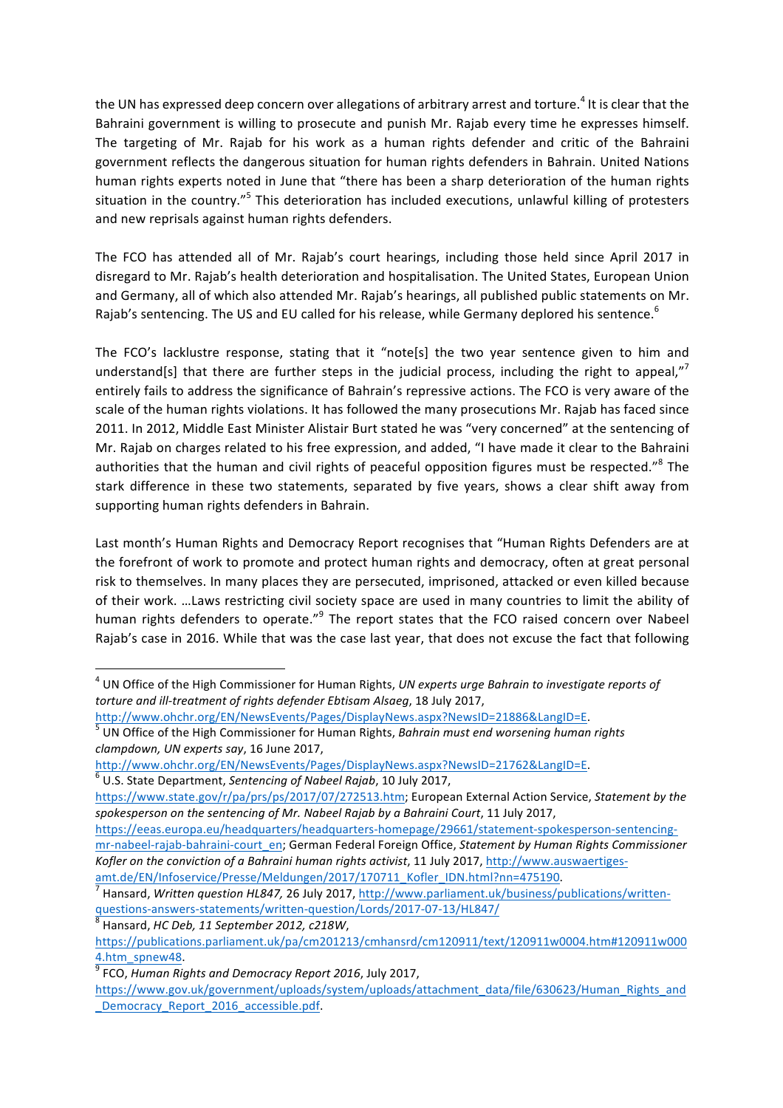the UN has expressed deep concern over allegations of arbitrary arrest and torture.<sup>4</sup> It is clear that the Bahraini government is willing to prosecute and punish Mr. Rajab every time he expresses himself. The targeting of Mr. Rajab for his work as a human rights defender and critic of the Bahraini government reflects the dangerous situation for human rights defenders in Bahrain. United Nations human rights experts noted in June that "there has been a sharp deterioration of the human rights situation in the country."<sup>5</sup> This deterioration has included executions, unlawful killing of protesters and new reprisals against human rights defenders.

The FCO has attended all of Mr. Rajab's court hearings, including those held since April 2017 in disregard to Mr. Rajab's health deterioration and hospitalisation. The United States, European Union and Germany, all of which also attended Mr. Rajab's hearings, all published public statements on Mr. Rajab's sentencing. The US and EU called for his release, while Germany deplored his sentence.<sup>6</sup>

The FCO's lacklustre response, stating that it "note[s] the two year sentence given to him and understand[s] that there are further steps in the judicial process, including the right to appeal,"<sup>7</sup> entirely fails to address the significance of Bahrain's repressive actions. The FCO is very aware of the scale of the human rights violations. It has followed the many prosecutions Mr. Rajab has faced since 2011. In 2012, Middle East Minister Alistair Burt stated he was "very concerned" at the sentencing of Mr. Rajab on charges related to his free expression, and added, "I have made it clear to the Bahraini authorities that the human and civil rights of peaceful opposition figures must be respected." $8$  The stark difference in these two statements, separated by five years, shows a clear shift away from supporting human rights defenders in Bahrain.

Last month's Human Rights and Democracy Report recognises that "Human Rights Defenders are at the forefront of work to promote and protect human rights and democracy, often at great personal risk to themselves. In many places they are persecuted, imprisoned, attacked or even killed because of their work. …Laws restricting civil society space are used in many countries to limit the ability of human rights defenders to operate."<sup>9</sup> The report states that the FCO raised concern over Nabeel Rajab's case in 2016. While that was the case last year, that does not excuse the fact that following

<u> 1989 - Johann Barn, mars ann an t-Amhain an t-Amhain an t-Amhain an t-Amhain an t-Amhain an t-Amhain an t-Amh</u>

<sup>&</sup>lt;sup>4</sup> UN Office of the High Commissioner for Human Rights, *UN experts urge Bahrain to investigate reports of torture and ill-treatment of rights defender Ebtisam Alsaeg, 18 July 2017.* 

http://www.ohchr.org/EN/NewsEvents/Pages/DisplayNews.aspx?NewsID=21886&LangID=E.<br><sup>5</sup> UN Office of the High Commissioner for Human Rights, *Bahrain must end worsening human rights clampdown, UN experts say*, 16 June 2017, 

http://www.ohchr.org/EN/NewsEvents/Pages/DisplayNews.aspx?NewsID=21762&LangID=E.<br><sup>6</sup> U.S. State Department, *Sentencing of Nabeel Rajab*, 10 July 2017,

https://www.state.gov/r/pa/prs/ps/2017/07/272513.htm; European External Action Service, Statement by the spokesperson on the sentencing of Mr. Nabeel Rajab by a Bahraini Court, 11 July 2017,

https://eeas.europa.eu/headquarters/headquarters-homepage/29661/statement-spokesperson-sentencingmr-nabeel-rajab-bahraini-court\_en; German Federal Foreign Office, *Statement by Human Rights Commissioner* Kofler on the conviction of a Bahraini human rights activist, 11 July 2017, http://www.auswaertiges-

amt.de/EN/Infoservice/Presse/Meldungen/2017/170711\_Kofler\_IDN.html?nn=475190.<br><sup>7</sup> Hansard, *Written question HL847,* 26 July 2017, http://www.parliament.uk/business/publications/writtenquestions-answers-statements/written-question/Lords/2017-07-13/HL847/<br><sup>8</sup> Hansard, *HC Deb, 11 September 2012, c218W*,

https://publications.parliament.uk/pa/cm201213/cmhansrd/cm120911/text/120911w0004.htm#120911w000 4.htm\_spnew48.<br><sup>9</sup> FCO, *Human Rights and Democracy Report 2016*, July 2017,

https://www.gov.uk/government/uploads/system/uploads/attachment\_data/file/630623/Human\_Rights\_and \_Democracy\_Report\_2016\_accessible.pdf.